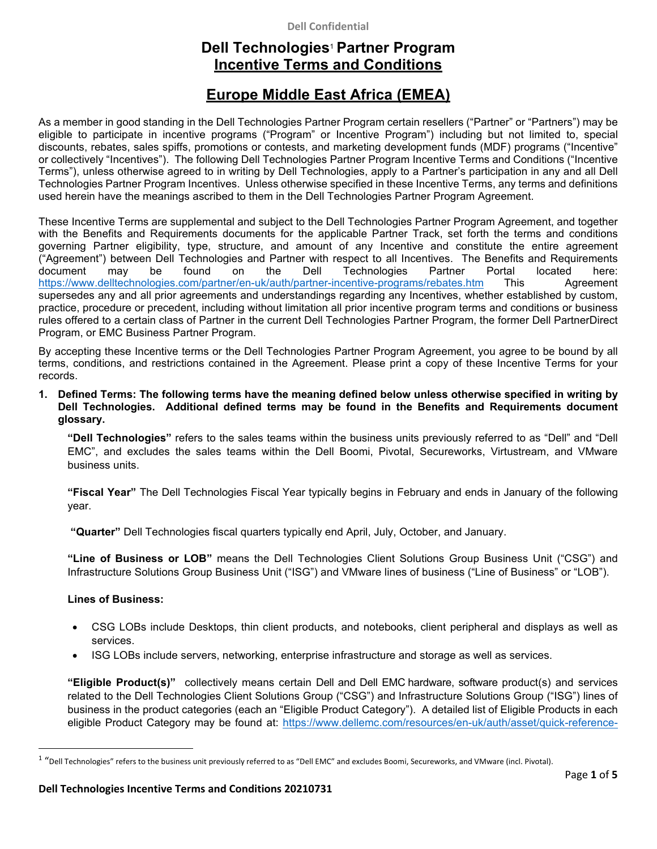### **Dell Confidential**

# **Dell Technologies**<sup>1</sup> **Partner Program Incentive Terms and Conditions**

# **Europe Middle East Africa (EMEA)**

As a member in good standing in the Dell Technologies Partner Program certain resellers ("Partner" or "Partners") may be eligible to participate in incentive programs ("Program" or Incentive Program") including but not limited to, special discounts, rebates, sales spiffs, promotions or contests, and marketing development funds (MDF) programs ("Incentive" or collectively "Incentives"). The following Dell Technologies Partner Program Incentive Terms and Conditions ("Incentive Terms"), unless otherwise agreed to in writing by Dell Technologies, apply to a Partner's participation in any and all Dell Technologies Partner Program Incentives. Unless otherwise specified in these Incentive Terms, any terms and definitions used herein have the meanings ascribed to them in the Dell Technologies Partner Program Agreement.

These Incentive Terms are supplemental and subject to the Dell Technologies Partner Program Agreement, and together with the Benefits and Requirements documents for the applicable Partner Track, set forth the terms and conditions governing Partner eligibility, type, structure, and amount of any Incentive and constitute the entire agreement ("Agreement") between Dell Technologies and Partner with respect to all Incentives. The Benefits and Requirements document may be found on the Dell Technologies Partner Portal located here: https://www.delltechnologies.com/partner/en-uk/auth/partner-incentive-programs/rebates.htm This Agreement supersedes any and all prior agreements and understandings regarding any Incentives, whether established by custom, practice, procedure or precedent, including without limitation all prior incentive program terms and conditions or business rules offered to a certain class of Partner in the current Dell Technologies Partner Program, the former Dell PartnerDirect Program, or EMC Business Partner Program.

By accepting these Incentive terms or the Dell Technologies Partner Program Agreement, you agree to be bound by all terms, conditions, and restrictions contained in the Agreement. Please print a copy of these Incentive Terms for your records.

**1. Defined Terms: The following terms have the meaning defined below unless otherwise specified in writing by Dell Technologies. Additional defined terms may be found in the Benefits and Requirements document glossary.** 

**"Dell Technologies"** refers to the sales teams within the business units previously referred to as "Dell" and "Dell EMC", and excludes the sales teams within the Dell Boomi, Pivotal, Secureworks, Virtustream, and VMware business units.

**"Fiscal Year"** The Dell Technologies Fiscal Year typically begins in February and ends in January of the following year.

 **"Quarter"** Dell Technologies fiscal quarters typically end April, July, October, and January.

**"Line of Business or LOB"** means the Dell Technologies Client Solutions Group Business Unit ("CSG") and Infrastructure Solutions Group Business Unit ("ISG") and VMware lines of business ("Line of Business" or "LOB").

## **Lines of Business:**

- CSG LOBs include Desktops, thin client products, and notebooks, client peripheral and displays as well as services.
- ISG LOBs include servers, networking, enterprise infrastructure and storage as well as services.

**"Eligible Product(s)"** collectively means certain Dell and Dell EMC hardware, software product(s) and services related to the Dell Technologies Client Solutions Group ("CSG") and Infrastructure Solutions Group ("ISG") lines of business in the product categories (each an "Eligible Product Category"). A detailed list of Eligible Products in each eligible Product Category may be found at: https://www.dellemc.com/resources/en-uk/auth/asset/quick-reference-

<sup>1</sup> "Dell Technologies" refers to the business unit previously referred to as "Dell EMC" and excludes Boomi, Secureworks, and VMware (incl. Pivotal).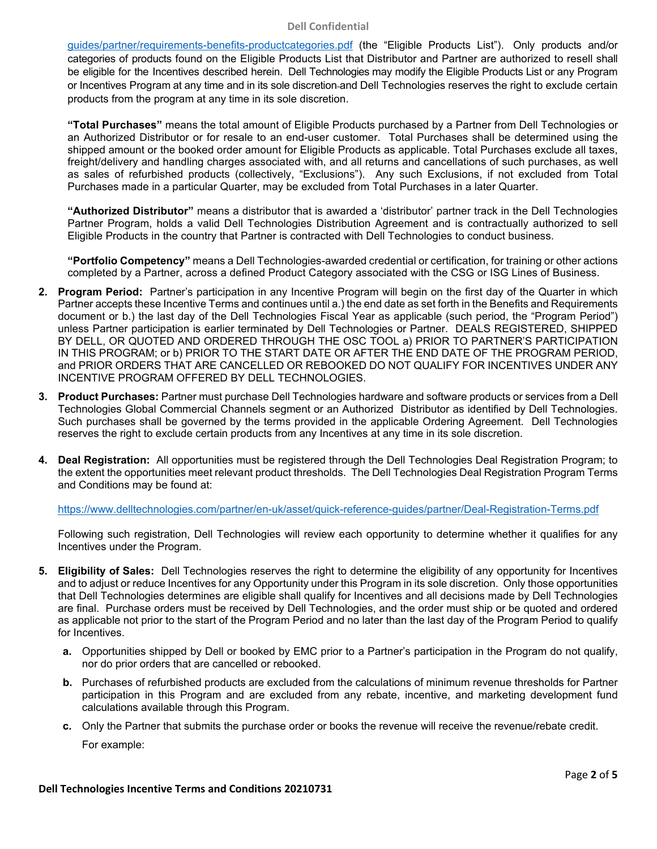#### **Dell Confidential**

guides/partner/requirements-benefits-productcategories.pdf (the "Eligible Products List"). Only products and/or categories of products found on the Eligible Products List that Distributor and Partner are authorized to resell shall be eligible for the Incentives described herein. Dell Technologies may modify the Eligible Products List or any Program or Incentives Program at any time and in its sole discretion and Dell Technologies reserves the right to exclude certain products from the program at any time in its sole discretion.

**"Total Purchases"** means the total amount of Eligible Products purchased by a Partner from Dell Technologies or an Authorized Distributor or for resale to an end-user customer. Total Purchases shall be determined using the shipped amount or the booked order amount for Eligible Products as applicable. Total Purchases exclude all taxes, freight/delivery and handling charges associated with, and all returns and cancellations of such purchases, as well as sales of refurbished products (collectively, "Exclusions"). Any such Exclusions, if not excluded from Total Purchases made in a particular Quarter, may be excluded from Total Purchases in a later Quarter.

**"Authorized Distributor"** means a distributor that is awarded a 'distributor' partner track in the Dell Technologies Partner Program, holds a valid Dell Technologies Distribution Agreement and is contractually authorized to sell Eligible Products in the country that Partner is contracted with Dell Technologies to conduct business.

**"Portfolio Competency"** means a Dell Technologies-awarded credential or certification, for training or other actions completed by a Partner, across a defined Product Category associated with the CSG or ISG Lines of Business.

- **2. Program Period:** Partner's participation in any Incentive Program will begin on the first day of the Quarter in which Partner accepts these Incentive Terms and continues until a.) the end date as set forth in the Benefits and Requirements document or b.) the last day of the Dell Technologies Fiscal Year as applicable (such period, the "Program Period") unless Partner participation is earlier terminated by Dell Technologies or Partner. DEALS REGISTERED, SHIPPED BY DELL, OR QUOTED AND ORDERED THROUGH THE OSC TOOL a) PRIOR TO PARTNER'S PARTICIPATION IN THIS PROGRAM; or b) PRIOR TO THE START DATE OR AFTER THE END DATE OF THE PROGRAM PERIOD, and PRIOR ORDERS THAT ARE CANCELLED OR REBOOKED DO NOT QUALIFY FOR INCENTIVES UNDER ANY INCENTIVE PROGRAM OFFERED BY DELL TECHNOLOGIES.
- **3. Product Purchases:** Partner must purchase Dell Technologies hardware and software products or services from a Dell Technologies Global Commercial Channels segment or an Authorized Distributor as identified by Dell Technologies. Such purchases shall be governed by the terms provided in the applicable Ordering Agreement. Dell Technologies reserves the right to exclude certain products from any Incentives at any time in its sole discretion.
- **4. Deal Registration:** All opportunities must be registered through the Dell Technologies Deal Registration Program; to the extent the opportunities meet relevant product thresholds. The Dell Technologies Deal Registration Program Terms and Conditions may be found at:

https://www.delltechnologies.com/partner/en-uk/asset/quick-reference-guides/partner/Deal-Registration-Terms.pdf

Following such registration, Dell Technologies will review each opportunity to determine whether it qualifies for any Incentives under the Program.

- **5. Eligibility of Sales:** Dell Technologies reserves the right to determine the eligibility of any opportunity for Incentives and to adjust or reduce Incentives for any Opportunity under this Program in its sole discretion. Only those opportunities that Dell Technologies determines are eligible shall qualify for Incentives and all decisions made by Dell Technologies are final. Purchase orders must be received by Dell Technologies, and the order must ship or be quoted and ordered as applicable not prior to the start of the Program Period and no later than the last day of the Program Period to qualify for Incentives.
	- **a.** Opportunities shipped by Dell or booked by EMC prior to a Partner's participation in the Program do not qualify, nor do prior orders that are cancelled or rebooked.
	- **b.** Purchases of refurbished products are excluded from the calculations of minimum revenue thresholds for Partner participation in this Program and are excluded from any rebate, incentive, and marketing development fund calculations available through this Program.
	- **c.** Only the Partner that submits the purchase order or books the revenue will receive the revenue/rebate credit. For example: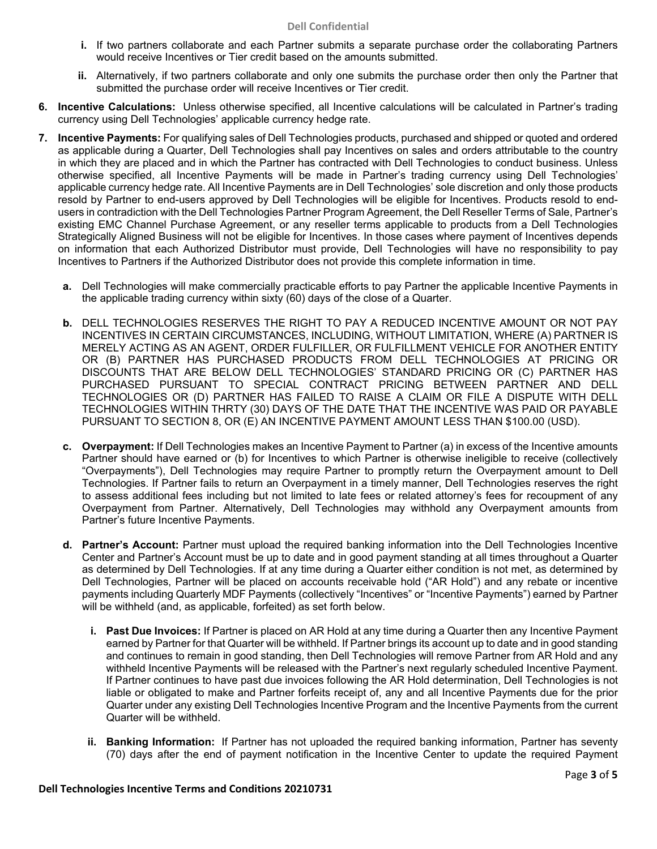- **i.** If two partners collaborate and each Partner submits a separate purchase order the collaborating Partners would receive Incentives or Tier credit based on the amounts submitted.
- **ii.** Alternatively, if two partners collaborate and only one submits the purchase order then only the Partner that submitted the purchase order will receive Incentives or Tier credit.
- **6. Incentive Calculations:** Unless otherwise specified, all Incentive calculations will be calculated in Partner's trading currency using Dell Technologies' applicable currency hedge rate.
- **7. Incentive Payments:** For qualifying sales of Dell Technologies products, purchased and shipped or quoted and ordered as applicable during a Quarter, Dell Technologies shall pay Incentives on sales and orders attributable to the country in which they are placed and in which the Partner has contracted with Dell Technologies to conduct business. Unless otherwise specified, all Incentive Payments will be made in Partner's trading currency using Dell Technologies' applicable currency hedge rate. All Incentive Payments are in Dell Technologies' sole discretion and only those products resold by Partner to end-users approved by Dell Technologies will be eligible for Incentives. Products resold to endusers in contradiction with the Dell Technologies Partner Program Agreement, the Dell Reseller Terms of Sale, Partner's existing EMC Channel Purchase Agreement, or any reseller terms applicable to products from a Dell Technologies Strategically Aligned Business will not be eligible for Incentives. In those cases where payment of Incentives depends on information that each Authorized Distributor must provide, Dell Technologies will have no responsibility to pay Incentives to Partners if the Authorized Distributor does not provide this complete information in time.
	- **a.** Dell Technologies will make commercially practicable efforts to pay Partner the applicable Incentive Payments in the applicable trading currency within sixty (60) days of the close of a Quarter.
	- **b.** DELL TECHNOLOGIES RESERVES THE RIGHT TO PAY A REDUCED INCENTIVE AMOUNT OR NOT PAY INCENTIVES IN CERTAIN CIRCUMSTANCES, INCLUDING, WITHOUT LIMITATION, WHERE (A) PARTNER IS MERELY ACTING AS AN AGENT, ORDER FULFILLER, OR FULFILLMENT VEHICLE FOR ANOTHER ENTITY OR (B) PARTNER HAS PURCHASED PRODUCTS FROM DELL TECHNOLOGIES AT PRICING OR DISCOUNTS THAT ARE BELOW DELL TECHNOLOGIES' STANDARD PRICING OR (C) PARTNER HAS PURCHASED PURSUANT TO SPECIAL CONTRACT PRICING BETWEEN PARTNER AND DELL TECHNOLOGIES OR (D) PARTNER HAS FAILED TO RAISE A CLAIM OR FILE A DISPUTE WITH DELL TECHNOLOGIES WITHIN THRTY (30) DAYS OF THE DATE THAT THE INCENTIVE WAS PAID OR PAYABLE PURSUANT TO SECTION 8, OR (E) AN INCENTIVE PAYMENT AMOUNT LESS THAN \$100.00 (USD).
	- **c. Overpayment:** If Dell Technologies makes an Incentive Payment to Partner (a) in excess of the Incentive amounts Partner should have earned or (b) for Incentives to which Partner is otherwise ineligible to receive (collectively "Overpayments"), Dell Technologies may require Partner to promptly return the Overpayment amount to Dell Technologies. If Partner fails to return an Overpayment in a timely manner, Dell Technologies reserves the right to assess additional fees including but not limited to late fees or related attorney's fees for recoupment of any Overpayment from Partner. Alternatively, Dell Technologies may withhold any Overpayment amounts from Partner's future Incentive Payments.
	- **d. Partner's Account:** Partner must upload the required banking information into the Dell Technologies Incentive Center and Partner's Account must be up to date and in good payment standing at all times throughout a Quarter as determined by Dell Technologies. If at any time during a Quarter either condition is not met, as determined by Dell Technologies, Partner will be placed on accounts receivable hold ("AR Hold") and any rebate or incentive payments including Quarterly MDF Payments (collectively "Incentives" or "Incentive Payments") earned by Partner will be withheld (and, as applicable, forfeited) as set forth below.
		- **i. Past Due Invoices:** If Partner is placed on AR Hold at any time during a Quarter then any Incentive Payment earned by Partner for that Quarter will be withheld. If Partner brings its account up to date and in good standing and continues to remain in good standing, then Dell Technologies will remove Partner from AR Hold and any withheld Incentive Payments will be released with the Partner's next regularly scheduled Incentive Payment. If Partner continues to have past due invoices following the AR Hold determination, Dell Technologies is not liable or obligated to make and Partner forfeits receipt of, any and all Incentive Payments due for the prior Quarter under any existing Dell Technologies Incentive Program and the Incentive Payments from the current Quarter will be withheld.
		- **ii. Banking Information:** If Partner has not uploaded the required banking information, Partner has seventy (70) days after the end of payment notification in the Incentive Center to update the required Payment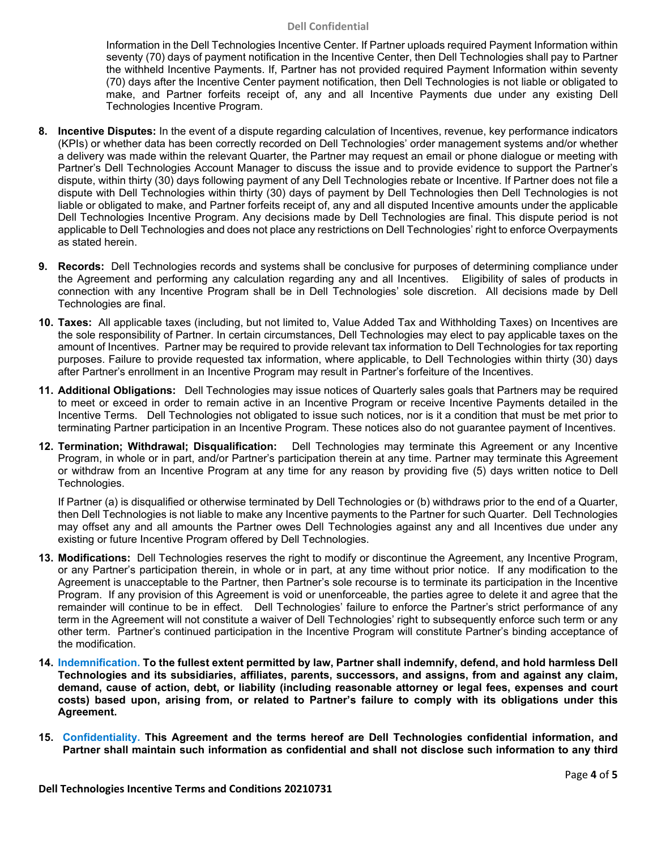#### **Dell Confidential**

Information in the Dell Technologies Incentive Center. If Partner uploads required Payment Information within seventy (70) days of payment notification in the Incentive Center, then Dell Technologies shall pay to Partner the withheld Incentive Payments. If, Partner has not provided required Payment Information within seventy (70) days after the Incentive Center payment notification, then Dell Technologies is not liable or obligated to make, and Partner forfeits receipt of, any and all Incentive Payments due under any existing Dell Technologies Incentive Program.

- **8. Incentive Disputes:** In the event of a dispute regarding calculation of Incentives, revenue, key performance indicators (KPIs) or whether data has been correctly recorded on Dell Technologies' order management systems and/or whether a delivery was made within the relevant Quarter, the Partner may request an email or phone dialogue or meeting with Partner's Dell Technologies Account Manager to discuss the issue and to provide evidence to support the Partner's dispute, within thirty (30) days following payment of any Dell Technologies rebate or Incentive. If Partner does not file a dispute with Dell Technologies within thirty (30) days of payment by Dell Technologies then Dell Technologies is not liable or obligated to make, and Partner forfeits receipt of, any and all disputed Incentive amounts under the applicable Dell Technologies Incentive Program. Any decisions made by Dell Technologies are final. This dispute period is not applicable to Dell Technologies and does not place any restrictions on Dell Technologies' right to enforce Overpayments as stated herein.
- **9. Records:** Dell Technologies records and systems shall be conclusive for purposes of determining compliance under the Agreement and performing any calculation regarding any and all Incentives. Eligibility of sales of products in connection with any Incentive Program shall be in Dell Technologies' sole discretion. All decisions made by Dell Technologies are final.
- **10. Taxes:** All applicable taxes (including, but not limited to, Value Added Tax and Withholding Taxes) on Incentives are the sole responsibility of Partner. In certain circumstances, Dell Technologies may elect to pay applicable taxes on the amount of Incentives. Partner may be required to provide relevant tax information to Dell Technologies for tax reporting purposes. Failure to provide requested tax information, where applicable, to Dell Technologies within thirty (30) days after Partner's enrollment in an Incentive Program may result in Partner's forfeiture of the Incentives.
- **11. Additional Obligations:** Dell Technologies may issue notices of Quarterly sales goals that Partners may be required to meet or exceed in order to remain active in an Incentive Program or receive Incentive Payments detailed in the Incentive Terms. Dell Technologies not obligated to issue such notices, nor is it a condition that must be met prior to terminating Partner participation in an Incentive Program. These notices also do not guarantee payment of Incentives.
- **12. Termination; Withdrawal; Disqualification:** Dell Technologies may terminate this Agreement or any Incentive Program, in whole or in part, and/or Partner's participation therein at any time. Partner may terminate this Agreement or withdraw from an Incentive Program at any time for any reason by providing five (5) days written notice to Dell Technologies.

If Partner (a) is disqualified or otherwise terminated by Dell Technologies or (b) withdraws prior to the end of a Quarter, then Dell Technologies is not liable to make any Incentive payments to the Partner for such Quarter. Dell Technologies may offset any and all amounts the Partner owes Dell Technologies against any and all Incentives due under any existing or future Incentive Program offered by Dell Technologies.

- **13. Modifications:** Dell Technologies reserves the right to modify or discontinue the Agreement, any Incentive Program, or any Partner's participation therein, in whole or in part, at any time without prior notice. If any modification to the Agreement is unacceptable to the Partner, then Partner's sole recourse is to terminate its participation in the Incentive Program. If any provision of this Agreement is void or unenforceable, the parties agree to delete it and agree that the remainder will continue to be in effect. Dell Technologies' failure to enforce the Partner's strict performance of any term in the Agreement will not constitute a waiver of Dell Technologies' right to subsequently enforce such term or any other term. Partner's continued participation in the Incentive Program will constitute Partner's binding acceptance of the modification.
- **14. Indemnification. To the fullest extent permitted by law, Partner shall indemnify, defend, and hold harmless Dell Technologies and its subsidiaries, affiliates, parents, successors, and assigns, from and against any claim, demand, cause of action, debt, or liability (including reasonable attorney or legal fees, expenses and court costs) based upon, arising from, or related to Partner's failure to comply with its obligations under this Agreement.**
- **15. Confidentiality. This Agreement and the terms hereof are Dell Technologies confidential information, and Partner shall maintain such information as confidential and shall not disclose such information to any third**